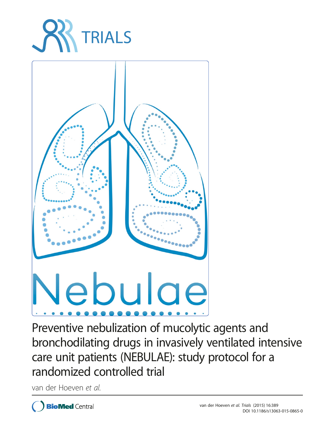



Preventive nebulization of mucolytic agents and bronchodilating drugs in invasively ventilated intensive care unit patients (NEBULAE): study protocol for a randomized controlled trial

van der Hoeven et al.

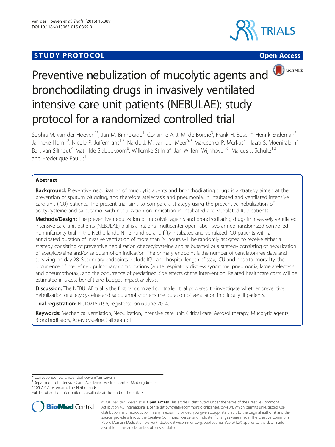# **STUDY PROTOCOL CONSUMING THE CONSUMING OPEN ACCESS**







# Preventive nebulization of mucolytic agents and bronchodilating drugs in invasively ventilated intensive care unit patients (NEBULAE): study protocol for a randomized controlled trial

Sophia M. van der Hoeven<sup>1\*</sup>, Jan M. Binnekade<sup>1</sup>, Corianne A. J. M. de Borgie<sup>3</sup>, Frank H. Bosch<sup>4</sup>, Henrik Endeman<sup>5</sup> , Janneke Horn<sup>1,2</sup>, Nicole P. Juffermans<sup>1,2</sup>, Nardo J. M. van der Meer<sup>6,9</sup>, Maruschka P. Merkus<sup>3</sup>, Hazra S. Moeniralam<sup>7</sup> , Bart van Silfhout<sup>7</sup>, Mathilde Slabbekoorn<sup>8</sup>, Willemke Stilma<sup>5</sup>, Jan Willem Wijnhoven<sup>6</sup>, Marcus J. Schultz<sup>1,2</sup> and Frederique Paulus<sup>1</sup>

# Abstract

Background: Preventive nebulization of mucolytic agents and bronchodilating drugs is a strategy aimed at the prevention of sputum plugging, and therefore atelectasis and pneumonia, in intubated and ventilated intensive care unit (ICU) patients. The present trial aims to compare a strategy using the preventive nebulization of acetylcysteine and salbutamol with nebulization on indication in intubated and ventilated ICU patients.

Methods/Design: The preventive nebulization of mucolytic agents and bronchodilating drugs in invasively ventilated intensive care unit patients (NEBULAE) trial is a national multicenter open-label, two-armed, randomized controlled non-inferiority trial in the Netherlands. Nine hundred and fifty intubated and ventilated ICU patients with an anticipated duration of invasive ventilation of more than 24 hours will be randomly assigned to receive either a strategy consisting of preventive nebulization of acetylcysteine and salbutamol or a strategy consisting of nebulization of acetylcysteine and/or salbutamol on indication. The primary endpoint is the number of ventilator-free days and surviving on day 28. Secondary endpoints include ICU and hospital length of stay, ICU and hospital mortality, the occurrence of predefined pulmonary complications (acute respiratory distress syndrome, pneumonia, large atelectasis and pneumothorax), and the occurrence of predefined side effects of the intervention. Related healthcare costs will be estimated in a cost-benefit and budget-impact analysis.

Discussion: The NEBULAE trial is the first randomized controlled trial powered to investigate whether preventive nebulization of acetylcysteine and salbutamol shortens the duration of ventilation in critically ill patients.

Trial registration: [NCT02159196](https://clinicaltrials.gov/ct2/show/NCT02159196), registered on 6 June 2014.

Keywords: Mechanical ventilation, Nebulization, Intensive care unit, Critical care, Aerosol therapy, Mucolytic agents, Bronchodilators, Acetylcysteine, Salbutamol

\* Correspondence: [s.m.vanderhoeven@amc.uva.nl](mailto:s.m.vanderhoeven@amc.uva.nl) <sup>1</sup>

<sup>1</sup>Department of Intensive Care, Academic Medical Center, Meibergdreef 9, 1105 AZ Amsterdam, The Netherlands

Full list of author information is available at the end of the article



© 2015 van der Hoeven et al. Open Access This article is distributed under the terms of the Creative Commons Attribution 4.0 International License [\(http://creativecommons.org/licenses/by/4.0/\)](http://creativecommons.org/licenses/by/4.0/), which permits unrestricted use, distribution, and reproduction in any medium, provided you give appropriate credit to the original author(s) and the source, provide a link to the Creative Commons license, and indicate if changes were made. The Creative Commons Public Domain Dedication waiver ([http://creativecommons.org/publicdomain/zero/1.0/\)](http://creativecommons.org/publicdomain/zero/1.0/) applies to the data made available in this article, unless otherwise stated.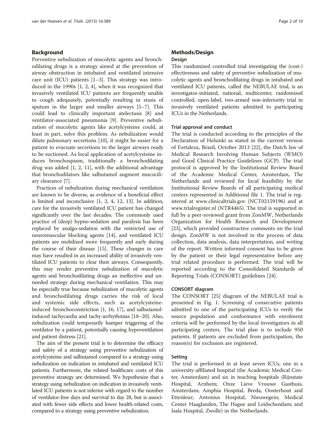## Background

Preventive nebulization of mucolytic agents and bronchodilating drugs is a strategy aimed at the prevention of airway obstruction in intubated and ventilated intensive care unit (ICU) patients [\[1](#page-8-0)–[3\]](#page-8-0). This strategy was introduced in the 1990s [\[1](#page-8-0), [2](#page-8-0), [4](#page-8-0)], when it was recognized that invasively ventilated ICU patients are frequently unable to cough adequately, potentially resulting in stasis of sputum in the larger and smaller airways [\[5](#page-8-0)–[7\]](#page-8-0). This could lead to clinically important atelectasis [\[8](#page-8-0)] and ventilator-associated pneumonia [\[9](#page-9-0)]. Preventive nebulization of mucolytic agents like acetylcysteine could, at least in part, solve this problem. As nebulization would dilute pulmonary secretions [[10\]](#page-9-0), it might be easier for a patient to evacuate secretions to the larger airways ready to be suctioned. As local application of acetylcysteine induces bronchospasm, traditionally a bronchodilating drug was added [[1, 2](#page-8-0), [11](#page-9-0)], with the additional advantage that bronchodilators like salbutamol augment mucociliary clearance [\[7](#page-8-0)].

Practices of nebulization during mechanical ventilation are known to be diverse, as evidence of a beneficial effect is limited and inconclusive [[1, 2, 4,](#page-8-0) [12, 13](#page-9-0)]. In addition, care for the invasively ventilated ICU patient has changed significantly over the last decades. The commonly used practice of (deep) hypno-sedation and paralysis has been replaced by analgo-sedation with the restricted use of neuromuscular blocking agents [\[14](#page-9-0)], and ventilated ICU patients are mobilized more frequently and early during the course of their disease [[15](#page-9-0)]. These changes in care may have resulted in an increased ability of invasively ventilated ICU patients to clear their airways. Consequently, this may render preventive nebulization of mucolytic agents and bronchodilating drugs an ineffective and unneeded strategy during mechanical ventilation. This may be especially true because nebulization of mucolytic agents and bronchodilating drugs carries the risk of local and systemic side effects, such as acetylcysteineinduced bronchoconstriction [\[1,](#page-8-0) [16, 17\]](#page-9-0), and salbutamolinduced tachycardia and tachy-arrhythmias [[18](#page-9-0)–[20](#page-9-0)]. Also, nebulization could temporarily hamper triggering of the ventilator by a patient, potentially causing hypoventilation and patient distress [[21](#page-9-0)].

The aim of the present trial is to determine the efficacy and safety of a strategy using preventive nebulization of acetylcysteine and salbutamol compared to a strategy using nebulization on indication in intubated and ventilated ICU patients. Furthermore, the related healthcare costs of this preventive strategy are determined. We hypothesize that a strategy using nebulization on indication in invasively ventilated ICU patients is not inferior with regard to the number of ventilator-free days and survival to day 28, but is associated with fewer side effects and lower health-related costs, compared to a strategy using preventive nebulization.

# Methods/Design

# Design

This randomized controlled trial investigating the (cost-) effectiveness and safety of preventive nebulization of mucolytic agents and bronchodilating drugs in intubated and ventilated ICU patients, called the NEBULAE trial, is an investigator-initiated, national, multicenter, randomized controlled, open-label, two-armed non-inferiority trial in invasively ventilated patients admitted to participating ICUs in the Netherlands.

#### Trial approval and conduct

The trial is conducted according to the principles of the Declaration of Helsinki as stated in the current version of Fortaleza, Brazil, October 2013 [\[22](#page-9-0)], the Dutch law of Medical Research Involving Human Subjects (WMO) and Good Clinical Practice Guidelines (GCP). The trial protocol is approved by the Institutional Review Board of the Academic Medical Center, Amsterdam, The Netherlands and reviewed for local feasibility by the Institutional Review Boards of all participating medical centers represented in Additional file [1](#page-8-0). The trial is registered at [www.clinicaltrials.gov](http://www.clinicaltrials.gov/) (NCT02159196) and at [www.trialregister.nl](http://www.trialregister.nl) (NTR4465). The trial is supported in full by a peer-reviewed grant from ZonMW, Netherlands Organization for Health Research and Development [[23\]](#page-9-0), which provided constructive comments on the trial design. ZonMW is not involved in the process of data collection, data analysis, data interpretation, and writing of the report. Written informed consent has to be given by the patient or their legal representative before any trial related procedure is performed. The trial will be reported according to the Consolidated Standards of Reporting Trials (CONSORT) guidelines [[24](#page-9-0)].

#### CONSORT diagram

The CONSORT [\[25](#page-9-0)] diagram of the NEBULAE trial is presented in Fig. [1.](#page-3-0) Screening of consecutive patients admitted to one of the participating ICUs to verify the source population and conformance with enrolment criteria will be performed by the local investigators in all participating centers. The trial plan is to include 950 patients. If patients are excluded from participation, the reason(s) for exclusion are registered.

#### Setting

The trial is performed in at least seven ICUs, one in a university-affiliated hospital (the Academic Medical Center, Amsterdam) and six in teaching hospitals (Rijnstate Hospital, Arnhem; Onze Lieve Vrouwe Gasthuis, Amsterdam; Amphia Hospital, Breda, Oosterhout and Ettenleur; Antonius Hospital, Nieuwegein; Medical Center Haaglanden, The Hague and Leidschendam; and Isala Hospital, Zwolle) in the Netherlands.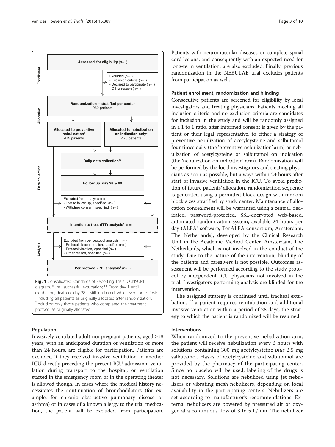<span id="page-3-0"></span>

#### Population

Invasively ventilated adult nonpregnant patients, aged ≥18 years, with an anticipated duration of ventilation of more than 24 hours, are eligible for participation. Patients are excluded if they received invasive ventilation in another ICU directly preceding the present ICU admission; ventilation during transport to the hospital, or ventilation started in the emergency room or in the operating theater is allowed though. In cases where the medical history necessitates the continuation of bronchodilators (for example, for chronic obstructive pulmonary disease or asthma) or in cases of a known allergy to the trial medication, the patient will be excluded from participation.

Patients with neuromuscular diseases or complete spinal cord lesions, and consequently with an expected need for long-term ventilation, are also excluded. Finally, previous randomization in the NEBULAE trial excludes patients from participation as well.

#### Patient enrollment, randomization and blinding

Consecutive patients are screened for eligibility by local investigators and treating physicians. Patients meeting all inclusion criteria and no exclusion criteria are candidates for inclusion in the study and will be randomly assigned in a 1 to 1 ratio, after informed consent is given by the patient or their legal representative, to either a strategy of preventive nebulization of acetylcysteine and salbutamol four times daily (the 'preventive nebulization' arm) or nebulization of acetylcysteine or salbutamol on indication (the 'nebulization on indication' arm). Randomization will be performed by the local investigators and treating physicians as soon as possible, but always within 24 hours after start of invasive ventilation in the ICU. To avoid prediction of future patients' allocation, randomization sequence is generated using a permuted block design with random block sizes stratified by study center. Maintenance of allocation concealment will be warranted using a central, dedicated, password-protected, SSL-encrypted web-based, automated randomization system, available 24 hours per day (ALEA® software, TenALEA consortium, Amsterdam, The Netherlands), developed by the Clinical Research Unit in the Academic Medical Center, Amsterdam, The Netherlands, which is not involved in the conduct of the study. Due to the nature of the intervention, blinding of the patients and caregivers is not possible. Outcomes assessment will be performed according to the study protocol by independent ICU physicians not involved in the trial. Investigators performing analysis are blinded for the intervention.

The assigned strategy is continued until tracheal extubation. If a patient requires reintubation and additional invasive ventilation within a period of 28 days, the strategy to which the patient is randomized will be resumed.

#### Interventions

When randomized to the preventive nebulization arm, the patient will receive nebulization every 6 hours with solutions containing 300 mg acetylcysteine *plus* 2.5 mg salbutamol. Flasks of acetylcysteine and salbutamol are provided by the pharmacy of the participating center. Since no placebo will be used, labeling of the drugs is not necessary. Solutions are nebulized using jet nebulizers or vibrating mesh nebulizers, depending on local availability in the participating centers. Nebulizers are set according to manufacturer's recommendations. External nebulizers are powered by pressured air or oxygen at a continuous flow of 3 to 5 L/min. The nebulizer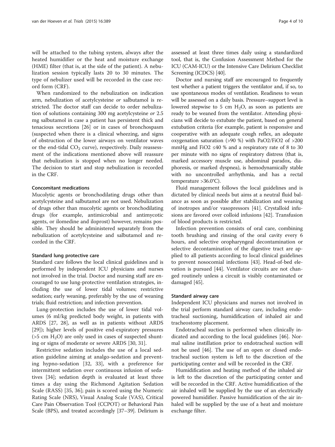will be attached to the tubing system, always after the heated humidifier or the heat and moisture exchange (HME) filter (that is, at the side of the patient). A nebulization session typically lasts 20 to 30 minutes. The type of nebulizer used will be recorded in the case record form (CRF).

When randomized to the nebulization on indication arm, nebulization of acetylcysteine or salbutamol is restricted. The doctor staff can decide to order nebulization of solutions containing 300 mg acetylcysteine or 2.5 mg salbutamol in case a patient has persistent thick and tenacious secretions [[26](#page-9-0)] or in cases of bronchospasm (suspected when there is a clinical wheezing, and signs of obstruction of the lower airways on ventilator waves or the end-tidal  $CO<sub>2</sub>$  curve), respectively. Daily reassessment of the indications mentioned above will reassure that nebulization is stopped when no longer needed. The decision to start and stop nebulization is recorded in the CRF.

# Concomitant medications

Mucolytic agents or bronchodilating drugs other than acetylcysteine and salbutamol are not used. Nebulization of drugs other than mucolytic agents or bronchodilating drugs (for example, antimicrobial and antimycotic agents, or ilomedine and iloprost) however, remains possible. They should be administered separately from the nebulization of acetylcysteine and salbutamol and recorded in the CRF.

#### Standard lung protective care

Standard care follows the local clinical guidelines and is performed by independent ICU physicians and nurses not involved in the trial. Doctor and nursing staff are encouraged to use lung-protective ventilation strategies, including the use of lower tidal volumes; restrictive sedation; early weaning, preferably by the use of weaning trials; fluid restriction; and infection prevention.

Lung-protection includes the use of lower tidal volumes (6 ml/kg predicted body weight, in patients with ARDS [\[27](#page-9-0), [28\]](#page-9-0), as well as in patients without ARDS [[29\]](#page-9-0)); higher levels of positive end-expiratory pressures ( $>5$  cm H<sub>2</sub>O) are only used in cases of suspected shunting or signs of moderate or severe ARDS [[30, 31\]](#page-9-0).

Restrictive sedation includes the use of a local sedation guideline aiming at analgo-sedation and preventing hypno-sedation [[32, 33\]](#page-9-0), with a preference for intermittent sedation over continuous infusion of sedatives [\[34](#page-9-0)]; sedation depth is evaluated at least three times a day using the Richmond Agitation Sedation Scale (RASS) [[35, 36](#page-9-0)]; pain is scored using the Numeric Rating Scale (NRS), Visual Analog Scale (VAS), Critical Care Pain Observation Tool (CCPOT) or Behavioral Pain Scale (BPS), and treated accordingly [\[37](#page-9-0)–[39](#page-9-0)]. Delirium is

assessed at least three times daily using a standardized tool, that is, the Confusion Assessment Method for the ICU (CAM-ICU) or the Intensive Care Delirium Checklist Screening (ICDCS) [\[40\]](#page-9-0).

Doctor and nursing staff are encouraged to frequently test whether a patient triggers the ventilator and, if so, to use spontaneous modes of ventilation. Readiness to wean will be assessed on a daily basis. Pressure–support level is lowered stepwise to 5 cm  $H_2O$ , as soon as patients are ready to be weaned from the ventilator. Attending physicians will decide to extubate the patient, based on general extubation criteria (for example, patient is responsive and cooperative with an adequate cough reflex, an adequate oxygenation saturation (>90 %) with PaO2/FiO2 of >200 mmHg and FiO2  $\leq 40$  % and a respiratory rate of 8 to 30 per minute with no signs of respiratory distress (that is, marked accessory muscle use, abdominal paradox, diaphoresis, or marked dyspnea), is hemodynamically stable with no uncontrolled arrhythmia, and has a rectal temperature >36.0°C).

Fluid management follows the local guidelines and is dictated by clinical needs but aims at a neutral fluid balance as soon as possible after stabilization and weaning of inotropes and/or vasopressors [[41\]](#page-9-0). Crystalloid infusions are favored over colloid infusions [[42](#page-9-0)]. Transfusion of blood products is restricted.

Infection prevention consists of oral care, combining tooth brushing and rinsing of the oral cavity every 6 hours, and selective oropharyngeal decontamination or selective decontamination of the digestive tract are applied to all patients according to local clinical guidelines to prevent nosocomial infections [\[43](#page-9-0)]. Head-of-bed elevation is pursued [[44\]](#page-9-0). Ventilator circuits are not changed routinely unless a circuit is visibly contaminated or damaged [\[45](#page-9-0)].

#### Standard airway care

Independent ICU physicians and nurses not involved in the trial perform standard airway care, including endotracheal suctioning, humidification of inhaled air and tracheostomy placement.

Endotracheal suction is performed when clinically indicated and according to the local guidelines [[46\]](#page-9-0). Normal saline instillation prior to endotracheal suction will not be used [[46\]](#page-9-0). The use of an open or closed endotracheal suction system is left to the discretion of the participating center and will be recorded in the CRF.

Humidification and heating method of the inhaled air is left to the discretion of the participating center and will be recorded in the CRF. Active humidification of the air inhaled will be supplied by the use of an electrically powered humidifier. Passive humidification of the air inhaled will be supplied by the use of a heat and moisture exchange filter.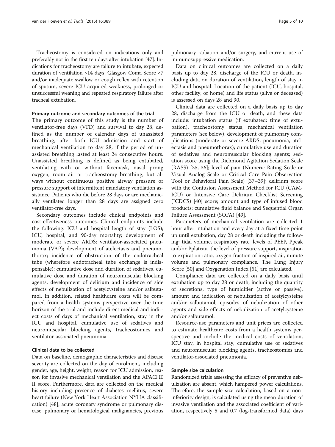Tracheostomy is considered on indications only and preferably not in the first ten days after intubation [\[47\]](#page-9-0). Indications for tracheostomy are failure to intubate, expected duration of ventilation >14 days, Glasgow Coma Score <7 and/or inadequate swallow or cough reflex with retention of sputum, severe ICU acquired weakness, prolonged or unsuccessful weaning and repeated respiratory failure after tracheal extubation.

### Primary outcome and secondary outcomes of the trial

The primary outcome of this study is the number of ventilator-free days (VFD) and survival to day 28, defined as the number of calendar days of unassisted breathing, after both ICU admission and start of mechanical ventilation to day 28, if the period of unassisted breathing lasted at least 24 consecutive hours. Unassisted breathing is defined as being extubated, ventilating with or without facemask, nasal prong oxygen, room air or tracheostomy breathing, but always without continuous positive airway pressure or pressure support of intermittent mandatory ventilation assistance. Patients who die before 28 days or are mechanically ventilated longer than 28 days are assigned zero ventilator-free days.

Secondary outcomes include clinical endpoints and cost-effectiveness outcomes. Clinical endpoints include the following: ICU and hospital length of stay (LOS); ICU, hospital, and 90-day mortality; development of moderate or severe ARDS; ventilator-associated pneumonia (VAP); development of atelectasis and pneumothorax; incidence of obstruction of the endotracheal tube (wherefore endotracheal tube exchange is indispensable); cumulative dose and duration of sedatives, cumulative dose and duration of neuromuscular blocking agents, development of delirium and incidence of side effects of nebulization of acetylcysteine and/or salbutamol. In addition, related healthcare costs will be compared from a health systems perspective over the time horizon of the trial and include direct medical and indirect costs of days of mechanical ventilation, stay in the ICU and hospital, cumulative use of sedatives and neuromuscular blocking agents, tracheostomies and ventilator-associated pneumonia.

# Clinical data to be collected

Data on baseline, demographic characteristics and disease severity are collected on the day of enrolment, including gender, age, height, weight, reason for ICU admission, reason for invasive mechanical ventilation and the APACHE II score. Furthermore, data are collected on the medical history including presence of diabetes mellitus, severe heart failure (New York Heart Association NYHA classification) [\[48\]](#page-9-0), acute coronary syndrome or pulmonary disease, pulmonary or hematological malignancies, previous pulmonary radiation and/or surgery, and current use of immunosuppressive medication.

Data on clinical outcomes are collected on a daily basis up to day 28, discharge of the ICU or death, including data on duration of ventilation, length of stay in ICU and hospital. Location of the patient (ICU, hospital, other facility, or home) and life status (alive or deceased) is assessed on days 28 and 90.

Clinical data are collected on a daily basis up to day 28, discharge from the ICU or death, and these data include: intubation status (if extubated: time of extubation), tracheostomy status, mechanical ventilation parameters (see below), development of pulmonary complications (moderate or severe ARDS, pneumonia, atelectasis and pneumothorax); cumulative use and duration of sedatives and neuromuscular blocking agents; sedation score using the Richmond Agitation Sedation Scale (RASS) [[35](#page-9-0), [36](#page-9-0)]; level of pain (Numeric Rating Scale or Visual Analog Scale or Critical Care Pain Observation Tool or Behavioral Pain Scale) [[37](#page-9-0)–[39\]](#page-9-0); delirium score with the Confusion Assessment Method for ICU (CAM-ICU) or Intensive Care Delirium Checklist Screening (ICDCS) [\[40](#page-9-0)] score; amount and type of infused blood products; cumulative fluid balance and Sequential Organ Failure Assessment (SOFA) [[49\]](#page-9-0).

Parameters of mechanical ventilation are collected 1 hour after intubation and every day at a fixed time point up until extubation, day 28 or death including the following: tidal volume, respiratory rate, levels of PEEP, Ppeak and/or Pplateau, the level of pressure support, inspiration to expiration ratio, oxygen fraction of inspired air, minute volume and pulmonary compliance. The Lung Injury Score [[50](#page-9-0)] and Oxygenation Index [[51](#page-9-0)] are calculated.

Compliance data are collected on a daily basis until extubation up to day 28 or death, including the quantity of secretions, type of humidifier (active or passive), amount and indication of nebulization of acetylcysteine and/or salbutamol, episodes of nebulization of other agents and side effects of nebulization of acetylcysteïne and/or salbutamol.

Resource-use parameters and unit prices are collected to estimate healthcare costs from a health systems perspective and include the medical costs of ventilation, ICU stay, in hospital stay, cumulative use of sedatives and neuromuscular blocking agents, tracheostomies and ventilator-associated pneumonia.

#### Sample size calculation

Randomized trials assessing the efficacy of preventive nebulization are absent, which hampered power calculations. Therefore, the sample size calculation, based on a noninferiority design, is calculated using the mean duration of invasive ventilation and the associated coefficient of variation, respectively 5 and 0.7 (log-transformed data) days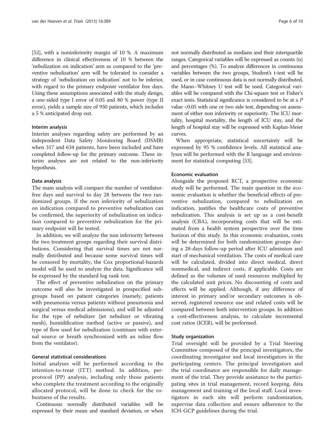[[52](#page-9-0)], with a noninferiority margin of 10 %. A maximum difference in clinical effectiveness of 10 % between the 'nebulization on indication' arm as compared to the 'preventive nebulization' arm will be tolerated to consider a strategy of 'nebulization on indication' not to be inferior, with regard to the primary endpoint ventilator free days. Using these assumptions associated with the study design, a one-sided type I error of 0.05 and 80 % power (type II error), yields a sample size of 950 patients, which includes a 5 % anticipated drop out.

#### Interim analysis

Interim analyses regarding safety are performed by an independent Data Safety Monitoring Board (DSMB) when 317 and 634 patients, have been included and have completed follow-up for the primary outcome. These interim analyses are not related to the non-inferiority hypothesis.

#### Data analysis

The main analysis will compare the number of ventilatorfree days and survival to day 28 between the two randomized groups. If the non inferiority of nebulization on indication compared to preventive nebulization can be confirmed, the superiority of nebulization on indication compared to preventive nebulization for the primary endpoint will be tested.

In addition, we will analyze the non inferiority between the two treatment groups regarding their survival distributions. Considering that survival times are not normally distributed and because some survival times will be censored by mortality, the Cox proportional-hazards model will be used to analyze the data. Significance will be expressed by the standard log rank test.

The effect of preventive nebulization on the primary outcome will also be investigated in prespecified subgroups based on patient categories (namely, patients with pneumonia versus patients without pneumonia and surgical versus medical admissions), and will be adjusted for the type of nebulizer (jet nebulizer or vibrating mesh), humidification method (active or passive), and type of flow used for nebulization (continues with external source or breath synchronized with an inline flow from the ventilator).

#### General statistical considerations

Initial analyses will be performed according to the intention-to-treat (ITT) method. In addition, perprotocol (PP) analysis, including only those patients who complete the treatment according to the originally allocated protocol, will be done to check for the robustness of the results.

Continuous normally distributed variables will be expressed by their mean and standard deviation, or when

not normally distributed as medians and their interquartile ranges. Categorical variables will be expressed as counts (n) and percentages (%). To analyze differences in continuous variables between the two groups, Student's t-test will be used, or in case continuous data is not normally distributed, the Mann–Whitney U test will be used. Categorical variables will be compared with the Chi-square test or Fisher's exact tests. Statistical significance is considered to be at a P value <0.05 with one or two side test, depending on assessment of either non inferiority or superiority. The ICU mortality, hospital mortality, the length of ICU stay, and the length of hospital stay will be expressed with Kaplan-Meier curves.

When appropriate, statistical uncertainty will be expressed by 95 % confidence levels. All statistical analyses will be performed with the R language and environment for statistical computing [\[53](#page-9-0)].

#### Economic evaluation

Alongside the proposed RCT, a prospective economic study will be performed. The main question in the economic evaluation is whether the beneficial effects of preventive nebulization, compared to nebulization on indication, justifies the healthcare costs of preventive nebulization. This analysis is set up as a cost-benefit analysis (CBA), incorporating costs that will be estimated from a health system perspective over the time horizon of this study. In this economic evaluation, costs will be determined for both randomization groups during a 28-days follow-up period after ICU admission and start of mechanical ventilation. The costs of medical care will be calculated, divided into direct medical, direct nonmedical, and indirect costs, if applicable. Costs are defined as the volumes of used resources multiplied by the calculated unit prices. No discounting of costs and effects will be applied. Although, if any difference of interest in primary and/or secondary outcomes is observed, registered resource use and related costs will be compared between both intervention groups. In addition a cost-effectiveness analysis, to calculate incremental cost ratios (ICER), will be performed.

#### Study organization

Trial oversight will be provided by a Trial Steering Committee composed of the principal investigators, the coordinating investigator and local investigators in the participating centers. The principal investigators and the trial coordinator are responsible for daily management of the trial. They provide assistance to the participating sites in trial management, record keeping, data management and training of the local staff. Local investigators in each site will perform randomization, supervise data collection and ensure adherence to the ICH-GCP guidelines during the trial.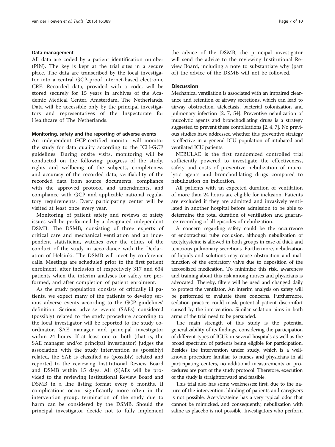#### Data management

All data are coded by a patient identification number (PIN). The key is kept at the trial sites in a secure place. The data are transcribed by the local investigator into a central GCP-proof internet-based electronic CRF. Recorded data, provided with a code, will be stored securely for 15 years in archives of the Academic Medical Center, Amsterdam, The Netherlands. Data will be accessible only by the principal investigators and representatives of the Inspectorate for Healthcare of The Netherlands.

#### Monitoring, safety and the reporting of adverse events

An independent GCP-certified monitor will monitor the study for data quality according to the ICH-GCP guidelines. During onsite visits, monitoring will be conducted on the following: progress of the study, rights and wellbeing of the subjects, completeness and accuracy of the recorded data, verifiability of the recorded data from source documents, compliance with the approved protocol and amendments, and compliance with GCP and applicable national regulatory requirements. Every participating center will be visited at least once every year.

Monitoring of patient safety and reviews of safety issues will be performed by a designated independent DSMB. The DSMB, consisting of three experts of critical care and mechanical ventilation and an independent statistician, watches over the ethics of the conduct of the study in accordance with the Declaration of Helsinki. The DSMB will meet by conference calls. Meetings are scheduled prior to the first patient enrolment, after inclusion of respectively 317 and 634 patients when the interim analyses for safety are performed, and after completion of patient enrolment.

As the study population consists of critically ill patients, we expect many of the patients to develop serious adverse events according to the GCP guidelines' definition. Serious adverse events (SAEs) considered (possibly) related to the study procedure according to the local investigator will be reported to the study coordinator, SAE manager and principal investigator within 24 hours. If at least one or both (that is, the SAE manager and/or principal investigator) judges the association with the study intervention as (possibly) related, the SAE is classified as (possibly) related and reported to the reviewing Institutional Review Board and DSMB within 15 days. All (S)AEs will be provided to the reviewing Institutional Review Board and DSMB in a line listing format every 6 months. If complications occur significantly more often in the intervention group, termination of the study due to harm can be considered by the DSMB. Should the principal investigator decide not to fully implement the advice of the DSMB, the principal investigator will send the advice to the reviewing Institutional Review Board, including a note to substantiate why (part of) the advice of the DSMB will not be followed.

## **Discussion**

Mechanical ventilation is associated with an impaired clearance and retention of airway secretions, which can lead to airway obstruction, atelectasis, bacterial colonization and pulmonary infection [\[2, 7,](#page-8-0) [54](#page-10-0)]. Preventive nebulization of mucolytic agents and bronchodilating drugs is a strategy suggested to prevent these complications [\[2, 4](#page-8-0), [7](#page-8-0)]. No previous studies have addressed whether this preventive strategy is effective in a general ICU population of intubated and ventilated ICU patients.

NEBULAE is the first randomized controlled trial sufficiently powered to investigate the effectiveness, safety and costs of preventive nebulization of mucolytic agents and bronchodilating drugs compared to nebulization on indication.

All patients with an expected duration of ventilation of more than 24 hours are eligible for inclusion. Patients are excluded if they are admitted and invasively ventilated in another hospital before admission to be able to determine the total duration of ventilation and guarantee recording of all episodes of nebulization.

A concern regarding safety could be the occurrence of endotracheal tube occlusion, although nebulization of acetylcysteine is allowed in both groups in case of thick and tenacious pulmonary secretions. Furthermore, nebulization of liquids and solutions may cause obstruction and malfunction of the expiratory valve due to deposition of the aerosolized medication. To minimize this risk, awareness and training about this risk among nurses and physicians is advocated. Thereby, filters will be used and changed daily to protect the ventilator. An interim analysis on safety will be performed to evaluate these concerns. Furthermore, sedation practice could mask potential patient discomfort caused by the intervention. Similar sedation aims in both arms of the trial need to be persuaded.

The main strength of this study is the potential generalizability of its findings, considering the participation of different types of ICU's in several hospitals as well as the broad spectrum of patients being eligible for participation. Besides the intervention under study, which is a wellknown procedure familiar to nurses and physicians in all participating centers, no additional measurements or procedures are part of the study protocol. Therefore, execution of the study is straightforward and feasible.

This trial also has some weaknesses: first, due to the nature of the intervention, blinding of patients and caregivers is not possible. Acetylcysteine has a very typical odor that cannot be mimicked, and consequently, nebulization with saline as placebo is not possible. Investigators who perform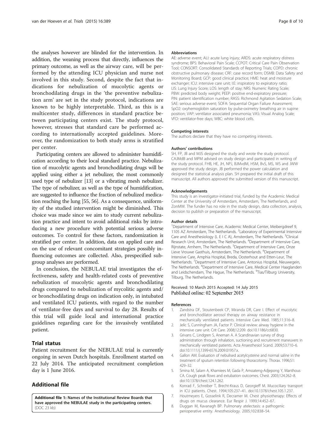<span id="page-8-0"></span>the analyses however are blinded for the intervention. In addition, the weaning process that directly, influences the primary outcome, as well as the airway care, will be performed by the attending ICU physician and nurse not involved in this study. Second, despite the fact that indications for nebulization of mucolytic agents or bronchodilating drugs in the 'the preventive nebulization arm' are set in the study protocol, indications are known to be highly interpretable. Third, as this is a multicenter study, differences in standard practice between participating centers exist. The study protocol, however, stresses that standard care be performed according to internationally accepted guidelines. Moreover, the randomization to both study arms is stratified per center.

Participating centers are allowed to administer humidification according to their local standard practice. Nebulization of mucolytic agents and bronchodilating drugs will be applied using either a jet nebulizer, the most commonly used type of nebulizer [\[13](#page-9-0)] or a vibrating mesh nebulizer. The type of nebulizer, as well as the type of humidification, are suggested to influence the fraction of nebulized medication reaching the lung [\[55, 56\]](#page-10-0). As a consequence, uniformity of the studied intervention might be diminished. This choice was made since we aim to study current nebulization practice and intent to avoid additional risks by introducing a new procedure with potential serious adverse outcomes. To control for these factors, randomization is stratified per center. In addition, data on applied care and on the use of relevant concomitant strategies possibly influencing outcomes are collected. Also, prespecified subgroup analyses are performed.

In conclusion, the NEBULAE trial investigates the effectiveness, safety and health-related costs of preventive nebulization of mucolytic agents and bronchodilating drugs compared to nebulization of mycolitic agents and/ or bronchodilating drugs on indication only, in intubated and ventilated ICU patients, with regard to the number of ventilator-free days and survival to day 28. Results of this trial will guide local and international practice guidelines regarding care for the invasively ventilated patient.

## Trial status

Patient recruitment for the NEBULAE trial is currently ongoing in seven Dutch hospitals. Enrollment started on 22 July 2014. The anticipated recruitment completion day is 1 June 2016.

# Additional file

[Additional file 1:](http://www.trialsjournal.com/content/supplementary/s13063-015-0865-0-s1.doc) Names of the Institutional Review Boards that have approved the NEBULAE study in the participating centers. (DOC 23 kb)

#### **Abbreviations**

AE: adverse event; ALI: acute lung injury; ARDS: acute respiratory distress syndrome; BPS: Behavioral Pain Scale; CCPOT: Critical Care Pain Observation Tool; CONSORT: Consolidated Standards of Reporting Trials; COPD: chronic obstructive pulmonary disease; CRF: case record form; DSMB: Data Safety and Monitoring Board; GCP: good clinical practice; HME: heat and moisture exchanger; ICU: intensive care unit; I:E: inspiratory to expiratory ratio; LIS: Lung Injury Score; LOS: length of stay; NRS: Numeric Rating Scale; PBW: predicted body weight; PEEP: positive end-expiratory pressure; PIN: patient identification number; RASS: Richmond Agitation Sedation Scale; SAE: serious adverse event; SOFA: Sequential Organ Failure Assessment; SpO2: oxyhemoglobin saturation by pulse-oximetry breathing air in supine position; VAP: ventilator associated pneumonia; VAS: Visual Analog Scale; VFD: ventilator-free days; WBC: white blood cells.

#### Competing interests

The authors declare that they have no competing interests.

#### Authors' contributions

SH, FP, JB and MJS designed the study and wrote the study protocol. CAJMdB and MPM advised on study design and participated in writing of the study protocol. FHB, HE, JH, NPJ, BJMvdM, HSM, BvS, MS, WS and JWW approved the study design. JB performed the power calculation and designed the statistical analysis plan. SH prepared the initial draft of this manuscript. All authors approved the submitted version of this manuscript.

#### Acknowledgements

This study is an investigator-initiated trial, funded by the Academic Medical Center at the University of Amsterdam, Amsterdam, The Netherlands, and ZonMW. The funder has no role in the study design, data collection, analysis, decision to publish or preparation of the manuscript.

#### Author details

<sup>1</sup>Department of Intensive Care, Academic Medical Center, Meibergdreef 9 1105 AZ Amsterdam, The Netherlands. <sup>2</sup> Laboratory of Experimental Intensive Care and Anesthesiology (L E I C A), Amsterdam, The Netherlands. <sup>3</sup>Clinical Research Unit, Amsterdam, The Netherlands. <sup>4</sup>Department of Intensive Care Rijnstate, Arnhem, The Netherlands. <sup>5</sup>Department of Intensive Care, Onze Lieve Vrouwe Gasthuis, Amsterdam, The Netherlands. <sup>6</sup>Department of Intensive Care, Amphia Hospital, Breda, Oosterhout and Etten-Leur, The Netherlands. <sup>7</sup>Department of Intensive Care, Antonius Hospital, Nieuwegein The Netherlands. <sup>8</sup>Department of Intensive Care, Medical Center Haaglanden and Leidschendam, The Hague, The Netherlands. <sup>9</sup>Tias/Tilburg University, Tilburg, The Netherlands.

#### Received: 10 March 2015 Accepted: 14 July 2015 Published online: 02 September 2015

#### References

- 1. Zandstra DF, Stoutenbeek CP, Miranda DR, Care I. Effect of mucolytic and bronchodilator aerosol therapy on airway resistance in mechanically ventilated patients. Intensive Care Med. 1985;11:316–8.
- 2. Jelic S, Cunningham JA, Factor P. Clinical review: airway hygiene in the intensive care unit. Crit Care. 2008;12:209. doi[:10.1186/cc6830](http://dx.doi.org/10.1186/cc6830).
- 3. Grivans C, Lindgren S, Aneman A. A Scandinavian survey of drug administration through inhalation, suctioning and recruitment maneuvers in mechanically ventilated patients. Acta Anaesthesiol Scand. 2009;53:710–6. doi[:10.1111/j.1399-6576.2009.01957.x](http://dx.doi.org/10.1111/j.1399-6576.2009.01957.x).
- 4. Gallon AM. Evaluation of nebulised acetylcysteine and normal saline in the treatment of sputum retention following thoracotomy. Thorax. 1996;51: 429–32.
- 5. Smina M, Salam A, Khamiees M, Gada P, Amoateng-Adjepong Y, Manthous CA. Cough peak flows and extubation outcomes. Chest. 2003;124:262–8. doi[:10.1378/chest.124.1.262.](http://dx.doi.org/10.1378/chest.124.1.262)
- 6. Konrad F, Schreiber T, Brecht-Kraus D, Georgieff M. Mucociliary transport in ICU patients. Chest. 1994;105:237–41. doi:[10.1378/chest.105.1.237.](http://dx.doi.org/10.1378/chest.105.1.237)
- 7. Houtmeyers E, Gosselink R, Decramer M. Chest physiotherapy: Effects of drugs on mucus clearance. Eur Respir J. 1999;14:452–67.
- 8. Duggan M, Kavanagh BP. Pulmonary atelectasis: a pathogenic perioperative entity. Anesthesiology. 2005;102:838–54.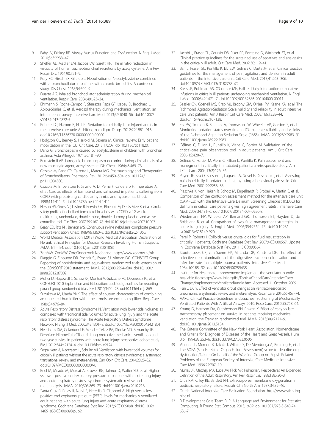- <span id="page-9-0"></span>10. Sheffer AL, Medler EM, Jacobs LW, Sarett HP. The in vitro reduction in viscosity of human tracheobronchial secretions by acetylcysteine. Am Rev Respir Dis. 1964;90:721–9.
- 11. Kory RC, Hirsch SR, Giraldo J. Nebulization of N-acetylcysteine combined with a bronchodilator in patients with chronic bronchitis. A controlled study. Dis Chest. 1968;54:504–9.
- 12. Duarte AG. Inhaled bronchodilator administration during mechanical ventilation. Respir Care. 2004;49:623–34.
- 13. Ehrmann S, Roche-Campo F, Sferrazza Papa GF, Isabey D, Brochard L, Apiou-Sbirlea G, et al. Aerosol therapy during mechanical ventilation: an international survey. Intensive Care Med. 2013;39:1048–56. doi:[10.1007/](http://dx.doi.org/10.1007/s00134-013-2872-5) [s00134-013-2872-5.](http://dx.doi.org/10.1007/s00134-013-2872-5)
- 14. Roberts DJ, Haroon B, Hall RI. Sedation for critically ill or injured adults in the intensive care unit: A shifting paradigm. Drugs. 2012;72:1881–916. doi[:10.2165/11636220-000000000-00000](http://dx.doi.org/10.2165/11636220-000000000-00000).
- 15. Hodgson CL, Berney S, Harrold M, Saxena M. Clinical review: Early patient mobilization in the ICU. Crit Care. 2013;17:207. doi:[10.1186/cc11820](http://dx.doi.org/10.1186/cc11820).
- 16. Dano G. Bronchospasm caused by acetylcysteine in children with bronchial asthma. Acta Allergol. 1971;26:181–90.
- 17. Bernstein ILAR. Iatrogenic bronchospasm occurring during clinical trials of a new mucolytic agent, acetylcysteine. Dis Chest. 1964;46:469–73.
- 18. Cazzola M, Page CP, Calzetta L, Matera MG. Pharmacology and Therapeutics of Bronchodilators. Pharmacol Rev. 2012;64:450–504. doi[:10.1124/](http://dx.doi.org/10.1124/pr.111.004580) [pr.111.004580.](http://dx.doi.org/10.1124/pr.111.004580)
- 19. Cazzola M, Imperatore F, Salzillo A, Di Perna F, Calderaro F, Imperatore A, et al. Cardiac effects of formoterol and salmeterol in patients suffering from COPD with preexisting cardiac arrhythmias and hypoxemia. Chest. 1998;114:411–5. doi:[10.1378/chest.114.2.411](http://dx.doi.org/10.1378/chest.114.2.411).
- 20. Nelson HS, Gross NJ, Levine B, Kerwin EM, Rinehart M, Denis-Mize K, et al. Cardiac safety profile of nebulized formoterol in adults with COPD: a 12-week, multicenter, randomized, double- blind, double-dummy, placebo- and activecontrolled trial. Clin Ther. 2007;29:2167–78. doi[:10.1016/j.clinthera.2007.10.007.](http://dx.doi.org/10.1016/j.clinthera.2007.10.007)
- 21. Beaty CD, Ritz RH, Benson MS. Continuous in-line nebulizers complicate pressure support ventilation. Chest. 1989;96:1360–3. doi[:10.1378/chest.96.6.1360.](http://dx.doi.org/10.1378/chest.96.6.1360)
- 22. World Medical Association (2013) World Medical Association Declaration of Helsinki Ethical Principles for Medical Research Involving Human Subjects. JAMA. E1 – E4. doi: [10.1001/jama.2013.281053](http://dx.doi.org/10.1001/jama.2013.281053)
- 23. ZonMW. ZonMW ZorgOnderzoek Nederland.<http://www.zonmw.nl/nl/>.
- 24. Piaggio G, Elbourne DR, Pocock SJ, Evans SJ, Altman DG. CONSORT Group. Reporting of noninferiority and equivalence randomized trials: extension of the CONSORT 2010 statement. JAMA. 2012;308:2594–604. doi[:10.1001/](http://dx.doi.org/10.1001/jama.2012.87802) [jama.2012.87802](http://dx.doi.org/10.1001/jama.2012.87802).
- 25. Moher D, Hopewell S, Schulz KF, Montori V, Gøtzsche PC, Devereaux PJ, et al. CONSORT 2010 Explanation and Elaboration: updated guidelines for reporting parallel group randomised trials. BMJ. 2010;340:1–28. doi[:10.1136/bmj.c869.](http://dx.doi.org/10.1136/bmj.c869)
- 26. Suzukawa M, Usada YNK. The effect of sputum characteristics of combining an unheated humidifier with a heat-moisture exchanging filter. Resp Care. 1989;34:976–84.
- 27. Acute Respiratory Distress Syndrome N. Ventilation with lower tidal volumes as compared with traditional tidal volumes for acute lung injury and the acute respiratory distress syndrome. The Acute Respiratory Distress Syndrome Network. N Engl J Med. 2000;342:1301–8. doi:[10.1056/NEJM200005043421801](http://dx.doi.org/10.1056/NEJM200005043421801).
- 28. Needham DM, Colantuoni E, Mendez-Tellez PA, Dinglas VD, Sevransky JE, Dennison Himmelfarb CR, et al. Lung protective mechanical ventilation and two year survival in patients with acute lung injury: prospective cohort study. BMJ. 2012;344:e2124–4. doi:[10.1136/bmj.e2124.](http://dx.doi.org/10.1136/bmj.e2124)
- 29. Serpa Neto A, Nagtzaam L, Schultz MJ. Ventilation with lower tidal volumes for critically ill patients without the acute respiratory distress syndrome: a systematic translational review and meta-analysis. Curr Opin Crit Care. 2014;20:25–32. doi[:10.1097/MCC.0000000000000044](http://dx.doi.org/10.1097/MCC.0000000000000044).
- 30. Briel M, Meade M, Mercat A, Brower RG, Talmor D, Walter SD, et al. Higher vs lower positive end-expiratory pressure in patients with acute lung injury and acute respiratory distress syndrome: systematic review and meta-analysis. JAMA. 2010;303:865–73. doi[:10.1001/jama.2010.218](http://dx.doi.org/10.1001/jama.2010.218).
- 31. Santa Cruz R, Rojas JI, Nervi R, Heredia R, Ciapponi A. High versus low positive end-expiratory pressure (PEEP) levels for mechanically ventilated adult patients with acute lung injury and acute respiratory distress syndrome. Cochrane Database Syst Rev. 2013;6:CD009098. doi:[10.1002/](http://dx.doi.org/10.1002/14651858.CD009098.pub2) [14651858.CD009098.pub2](http://dx.doi.org/10.1002/14651858.CD009098.pub2).
- 32. Jacobi J, Fraser GL, Coursin DB, Riker RR, Fontaine D, Wittbrodt ET, et al. Clinical practice guidelines for the sustained use of sedatives and analgesics in the critically ill adult. Crit Care Med. 2002;30:119–41.
- 33. Barr J, Fraser GL, Puntillo K, Ely EW, Gélinas C, Dasta JF, et al. Clinical practice guidelines for the management of pain, agitation, and delirium in adult patients in the intensive care unit. Crit Care Med. 2013;41:263–306. doi[:10.1097/CCM.0b013e3182783b72](http://dx.doi.org/10.1097/CCM.0b013e3182783b72).
- 34. Kress JP, Pohlman AS, O'Connor MF, Hall JB. Daily interruption of sedative infusions in critically ill patients undergoing mechanical ventilation. N Engl J Med. 2000;342:1471–7. doi:[10.1097/00132586-200104000-00011](http://dx.doi.org/10.1097/00132586-200104000-00011).
- 35. Sessler CN, Gosnell MS, Grap MJ, Brophy GM, O'Neal PV, Keane KA, et al. The Richmond Agitation-Sedation Scale: validity and reliability in adult intensive care unit patients. Am J Respir Crit Care Med. 2002;166:1338–44. doi[:10.1164/rccm.2107138](http://dx.doi.org/10.1164/rccm.2107138).
- 36. Ely EW, Truman B, Shintani A, Thomason JW, Wheeler AP, Gordon S, et al. Monitoring sedation status over time in ICU patients: reliability and validity of the Richmond Agitation-Sedation Scale (RASS). JAMA. 2003;289:2983–91. doi[:10.1001/jama.289.22.2983](http://dx.doi.org/10.1001/jama.289.22.2983).
- 37. Gélinas C, Fillion L, Puntillo K, Viens C, Fortier M. Validation of the critical-care pain observation tool in adult patients. Am J Crit Care. 2006;15:420–7.
- 38. Gélinas C, Fortier M, Viens C, Fillion L, Puntillo K. Pain assessment and manegment in critically ill intubated patients: a retrospective study. Am J Crit Care. 2004;13(2):126–36.
- 39. Payen JF, Bru O, Bosson JL, Lagrasta A, Novel E, Deschaux I, et al. Assessing pain in critically ill sedated patients by using a behavioral pain scale. Crit Care Med. 2001;29:2258–63.
- 40. Plaschke K, von Haken R, Scholz M, Engelhardt R, Brobeil A, Martin E, et al. Comparison of the confusion assessment method for the intensive care unit (CAM-ICU) with the Intensive Care Delirium Screening Checklist (ICDSC) for delirium in critical care patients gives high agreement rate(s). Intensive Care Med. 2008;34:431–6. doi[:10.1007/s00134-007-0920-8.](http://dx.doi.org/10.1007/s00134-007-0920-8)
- 41. Wiedemann HP, Wheeler AP, Bernard GR, Thompson BT, Hayden D, de Boisblanc B, et al. Comparison of two fluid-management strategies in acute lung injury. N Engl J Med. 2006;354:2564–75. doi[:10.1097/](http://dx.doi.org/10.1097/sa.0b013e318149f920) [sa.0b013e318149f920.](http://dx.doi.org/10.1097/sa.0b013e318149f920)
- 42. Perel P, Roberts I. Colloids versus crystalloids for fluid resuscitation in critically ill patients. Cochrane Database Syst Rev. 2007;4:CD000567. Update in: Cochrane Database Syst Rev. 2011; 3:CD000567.
- 43. Stoutenbeek CP, van Saene HK, Miranda DR, Zandstra DF. The effect of selective decontamination of the digestive tract on colonisation and infection rate in multiple trauma patients. Intensive Care Med. 1984;10:185–92. doi[:10.1007/BF00259435](http://dx.doi.org/10.1007/BF00259435).
- 44. Institute for Healthcare Improvement: Implement the ventilator bundle. Available from:[http://www.ihi.org/IHI/Topics/CriticalCare/IntensiveCare/](http://www.ihi.org/IHI/Topics/CriticalCare/IntensiveCare/Changes/ImplementtheVentilatorBundle.htm) [Changes/ImplementtheVentilatorBundle.htm](http://www.ihi.org/IHI/Topics/CriticalCare/IntensiveCare/Changes/ImplementtheVentilatorBundle.htm). Accessed 11 October 2009.
- 45. Han J, Liu Y. Effect of ventilator circuit changes on ventilator-associated pneumonia: a systematic review and meta-analysis. Respir Care. 2010;55:467–74.
- 46. AARC. Clinical Practice Guidelines Endotracheal Suctioning of Mechanically Ventilated Patients With Artificial Airways 2010. Resp Care. 2010;55:758–64.
- 47. Young D, Harrison DA, Cuthbertson BH, Rowan K. Effect of early vs late tracheostomy placement on survival in patients receiving mechanical ventilation: the TracMan randomized trial. JAMA. 2013;309:2121–9. doi[:10.1001/jama.2013.5154](http://dx.doi.org/10.1001/jama.2013.5154).
- 48. The Criteria Committee of the New York Heart, Association. Nomenclature and Criteria for Diagnosis of Diseases of the Heart and Great Vessels. Hum Biol. 1994;83:253–6. doi[:10.3378/027.083.0506.](http://dx.doi.org/10.3378/027.083.0506)
- 49. Vincent JL, Moreno R, Takala J, Willatts S, De Mendonça A, Bruining H, et al. The SOFA (Sepsis-related Organ Failure Assessment) score to describe organ dysfunction/failure. On behalf of the Working Group on Sepsis-Related Problems of the European Society of Intensive Care Medicine. Intensive Care Med. 1996;22:707–10.
- 50. Murray JF, Matthay MA, Luce JM, Flick MR. Pulmonary Perspectives An Expanded Definition of the Adult Respiratory. Am Rev Respir Dis. 1988;138:720–3.
- 51. Ortiz RM, Cilley RE, Bartlett RH. Extracorporeal membrane oxygenation in pediatric respiratory failure. Pediatr Clin North Am. 1987;34:39–46.
- 52. Dutch National Intensive Care Evaluation Foundation. [http://www.stichting](http://www.stichting-nice.nl/)[nice.nl.](http://www.stichting-nice.nl/)
- 53. R Development Core Team R. R: A Language and Environment for Statistical Computing. R Found Stat Comput. 2013;1:409. doi:[10.1007/978-3-540-74](http://dx.doi.org/10.1007/978-3-540-74686-7) [686-7](http://dx.doi.org/10.1007/978-3-540-74686-7).